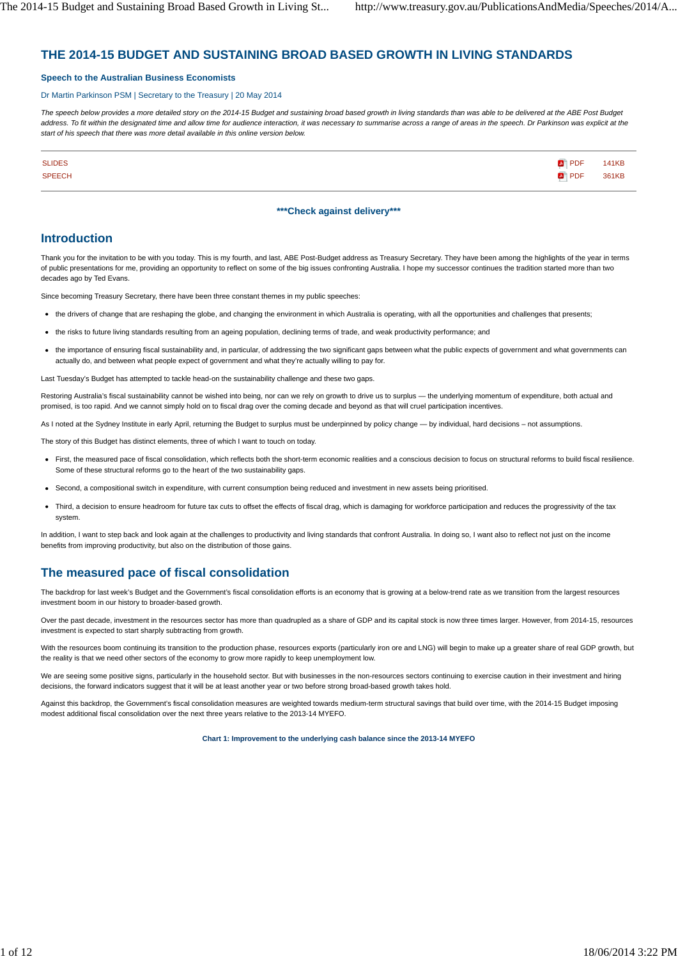# **THE 2014-15 BUDGET AND SUSTAINING BROAD BASED GROWTH IN LIVING STANDARDS**

### **Speech to the Australian Business Economists**

### Dr Martin Parkinson PSM | Secretary to the Treasury | 20 May 2014

*The speech below provides a more detailed story on the 2014-15 Budget and sustaining broad based growth in living standards than was able to be delivered at the ABE Post Budget address. To fit within the designated time and allow time for audience interaction, it was necessary to summarise across a range of areas in the speech. Dr Parkinson was explicit at the start of his speech that there was more detail available in this online version below.*

| <b>SLIDES</b> | $\blacksquare$ PDF | <b>141KB</b> |
|---------------|--------------------|--------------|
| <b>SPEECH</b> | PDF 361KB          |              |

### **\*\*\*Check against delivery\*\*\***

### **Introduction**

Thank you for the invitation to be with you today. This is my fourth, and last, ABE Post-Budget address as Treasury Secretary. They have been among the highlights of the year in terms of public presentations for me, providing an opportunity to reflect on some of the big issues confronting Australia. I hope my successor continues the tradition started more than two decades ago by Ted Evans.

Since becoming Treasury Secretary, there have been three constant themes in my public speeches:

- the drivers of change that are reshaping the globe, and changing the environment in which Australia is operating, with all the opportunities and challenges that presents;
- the risks to future living standards resulting from an ageing population, declining terms of trade, and weak productivity performance; and
- the importance of ensuring fiscal sustainability and, in particular, of addressing the two significant gaps between what the public expects of government and what governments can actually do, and between what people expect of government and what they're actually willing to pay for.

Last Tuesday's Budget has attempted to tackle head-on the sustainability challenge and these two gaps.

Restoring Australia's fiscal sustainability cannot be wished into being, nor can we rely on growth to drive us to surplus - the underlying momentum of expenditure, both actual and promised, is too rapid. And we cannot simply hold on to fiscal drag over the coming decade and beyond as that will cruel participation incentives.

As I noted at the Sydney Institute in early April, returning the Budget to surplus must be underpinned by policy change - by individual, hard decisions - not assumptions.

The story of this Budget has distinct elements, three of which I want to touch on today.

- First, the measured pace of fiscal consolidation, which reflects both the short-term economic realities and a conscious decision to focus on structural reforms to build fiscal resilience. Some of these structural reforms go to the heart of the two sustainability gaps.
- Second, a compositional switch in expenditure, with current consumption being reduced and investment in new assets being prioritised.
- Third, a decision to ensure headroom for future tax cuts to offset the effects of fiscal drag, which is damaging for workforce participation and reduces the progressivity of the tax system

In addition, I want to step back and look again at the challenges to productivity and living standards that confront Australia. In doing so, I want also to reflect not just on the income benefits from improving productivity, but also on the distribution of those gains.

# **The measured pace of fiscal consolidation**

The backdrop for last week's Budget and the Government's fiscal consolidation efforts is an economy that is growing at a below-trend rate as we transition from the largest resources investment boom in our history to broader-based growth.

Over the past decade, investment in the resources sector has more than quadrupled as a share of GDP and its capital stock is now three times larger. However, from 2014-15, resources investment is expected to start sharply subtracting from growth.

With the resources boom continuing its transition to the production phase, resources exports (particularly iron ore and LNG) will begin to make up a greater share of real GDP growth, but the reality is that we need other sectors of the economy to grow more rapidly to keep unemployment low.

We are seeing some positive signs, particularly in the household sector. But with businesses in the non-resources sectors continuing to exercise caution in their investment and hiring decisions, the forward indicators suggest that it will be at least another year or two before strong broad-based growth takes hold.

Against this backdrop, the Government's fiscal consolidation measures are weighted towards medium-term structural savings that build over time, with the 2014-15 Budget imposing modest additional fiscal consolidation over the next three years relative to the 2013-14 MYEFO.

**Chart 1: Improvement to the underlying cash balance since the 2013-14 MYEFO**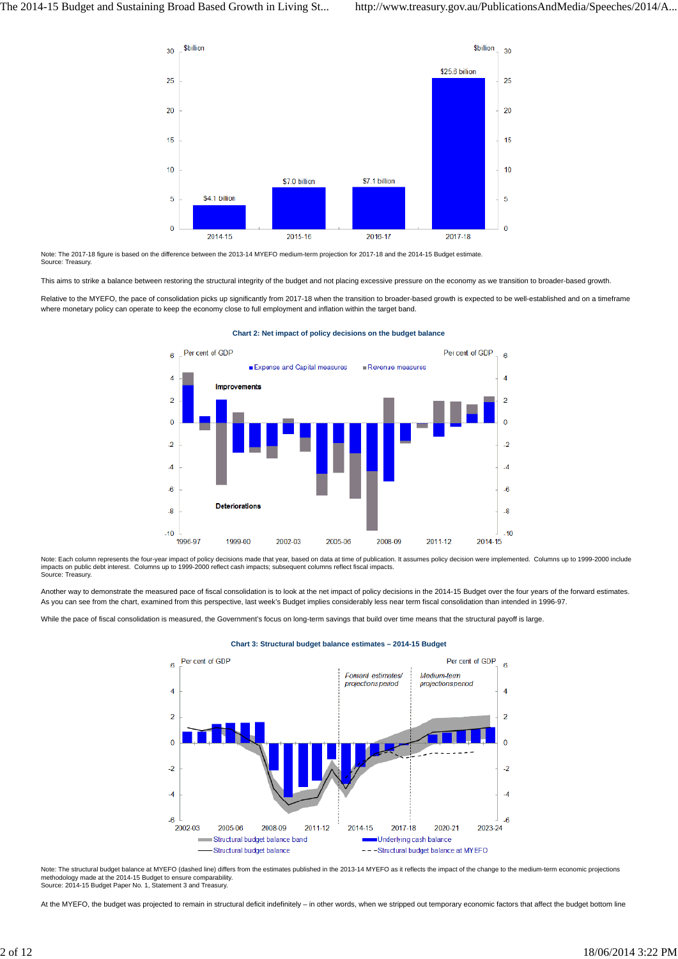

Note: The 2017-18 figure is based on the difference between the 2013-14 MYEFO medium-term projection for 2017-18 and the 2014-15 Budget estimate. Source: Treasury.

This aims to strike a balance between restoring the structural integrity of the budget and not placing excessive pressure on the economy as we transition to broader-based growth.

Relative to the MYEFO, the pace of consolidation picks up significantly from 2017-18 when the transition to broader-based growth is expected to be well-established and on a timeframe where monetary policy can operate to keep the economy close to full employment and inflation within the target band.



### **Chart 2: Net impact of policy decisions on the budget balance**

Note: Each column represents the four-year impact of policy decisions made that year, based on data at time of publication. It assumes policy decision were implemented. Columns up to 1999-2000 include impacts on public debt interest. Columns up to 1999-2000 reflect cash impacts; subsequent columns reflect fiscal impacts. .<br>burce: Treasury.

Another way to demonstrate the measured pace of fiscal consolidation is to look at the net impact of policy decisions in the 2014-15 Budget over the four years of the forward estimates. As you can see from the chart, examined from this perspective, last week's Budget implies considerably less near term fiscal consolidation than intended in 1996-97.

While the pace of fiscal consolidation is measured, the Government's focus on long-term savings that build over time means that the structural payoff is large.



### **Chart 3: Structural budget balance estimates – 2014-15 Budget**

Note: The structural budget balance at MYEFO (dashed line) differs from the estimates published in the 2013-14 MYEFO as it reflects the impact of the change to the medium-term economic projections methodology made at the 2014-15 Budget to ensure comparability. Source: 2014-15 Budget Paper No. 1, Statement 3 and Treasury.

At the MYEFO, the budget was projected to remain in structural deficit indefinitely – in other words, when we stripped out temporary economic factors that affect the budget bottom line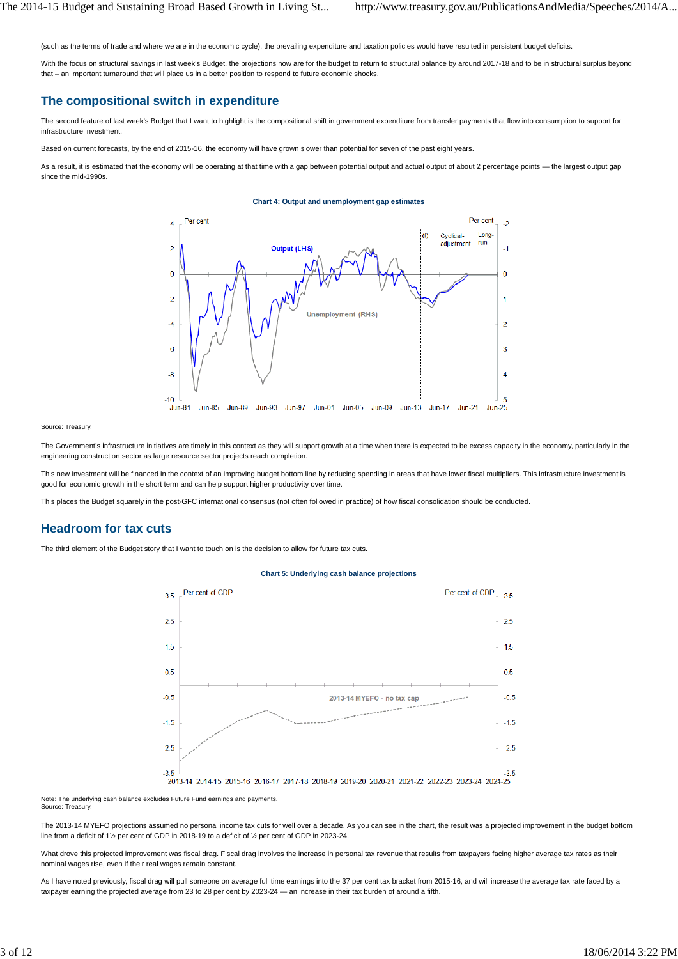(such as the terms of trade and where we are in the economic cycle), the prevailing expenditure and taxation policies would have resulted in persistent budget deficits.

With the focus on structural savings in last week's Budget, the projections now are for the budget to return to structural balance by around 2017-18 and to be in structural surplus beyond that – an important turnaround that will place us in a better position to respond to future economic shocks.

## **The compositional switch in expenditure**

The second feature of last week's Budget that I want to highlight is the compositional shift in government expenditure from transfer payments that flow into consumption to support for infrastructure investment.

Based on current forecasts, by the end of 2015-16, the economy will have grown slower than potential for seven of the past eight years.

As a result, it is estimated that the economy will be operating at that time with a gap between potential output and actual output of about 2 percentage points - the largest output gap since the mid-1990s.

### **Chart 4: Output and unemployment gap estimates**



#### Source: Treasury.

The Government's infrastructure initiatives are timely in this context as they will support growth at a time when there is expected to be excess capacity in the economy, particularly in the engineering construction sector as large resource sector projects reach completion.

This new investment will be financed in the context of an improving budget bottom line by reducing spending in areas that have lower fiscal multipliers. This infrastructure investment is good for economic growth in the short term and can help support higher productivity over time.

This places the Budget squarely in the post-GFC international consensus (not often followed in practice) of how fiscal consolidation should be conducted.

## **Headroom for tax cuts**

The third element of the Budget story that I want to touch on is the decision to allow for future tax cuts.

#### **Chart 5: Underlying cash balance projections**



Note: The underlying cash balance excludes Future Fund earnings and payments.

Source: Treasury

The 2013-14 MYEFO projections assumed no personal income tax cuts for well over a decade. As you can see in the chart, the result was a projected improvement in the budget bottom line from a deficit of 1½ per cent of GDP in 2018-19 to a deficit of ½ per cent of GDP in 2023-24.

What drove this projected improvement was fiscal drag. Fiscal drag involves the increase in personal tax revenue that results from taxpayers facing higher average tax rates as their nominal wages rise, even if their real wages remain constant.

As I have noted previously, fiscal drag will pull someone on average full time earnings into the 37 per cent tax bracket from 2015-16, and will increase the average tax rate faced by a taxpayer earning the projected average from 23 to 28 per cent by 2023-24 — an increase in their tax burden of around a fifth.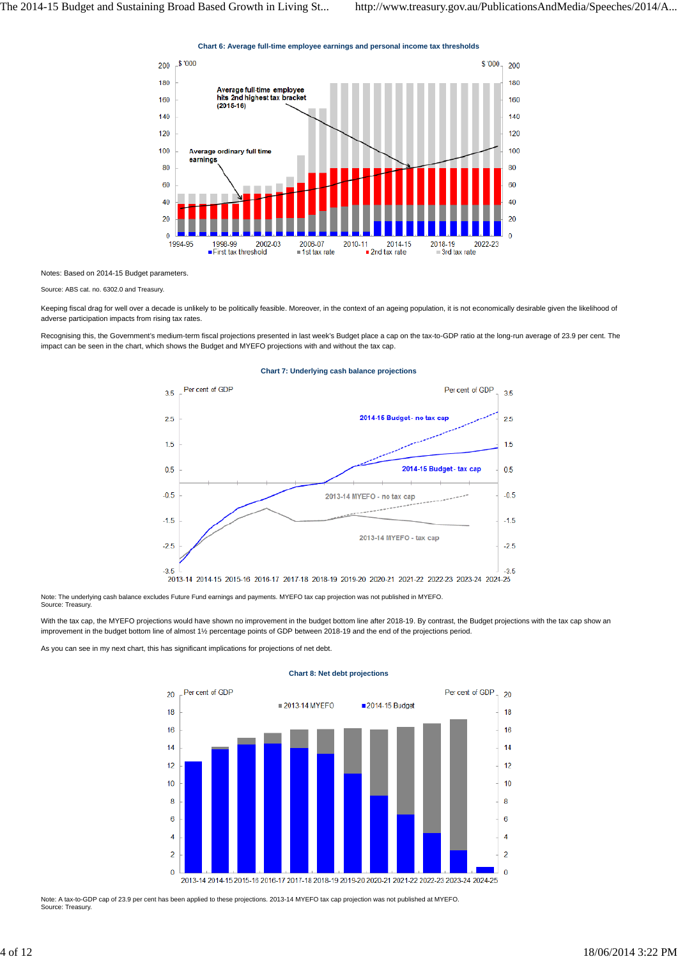**Chart 6: Average full-time employee earnings and personal income tax thresholds**



Notes: Based on 2014-15 Budget parameters.

Source: ABS cat. no. 6302.0 and Treasury.

Keeping fiscal drag for well over a decade is unlikely to be politically feasible. Moreover, in the context of an ageing population, it is not economically desirable given the likelihood of adverse participation impacts from rising tax rates.

Recognising this, the Government's medium-term fiscal projections presented in last week's Budget place a cap on the tax-to-GDP ratio at the long-run average of 23.9 per cent. The impact can be seen in the chart, which shows the Budget and MYEFO projections with and without the tax cap.



#### **Chart 7: Underlying cash balance projections**

Note: The underlying cash balance excludes Future Fund earnings and payments. MYEFO tax cap projection was not published in MYEFO. Source: Treasury.

With the tax cap, the MYEFO projections would have shown no improvement in the budget bottom line after 2018-19. By contrast, the Budget projections with the tax cap show an improvement in the budget bottom line of almost 1½ percentage points of GDP between 2018-19 and the end of the projections period.

As you can see in my next chart, this has significant implications for projections of net debt.



### **Chart 8: Net debt projections**

Note: A tax-to-GDP cap of 23.9 per cent has been applied to these projections. 2013-14 MYEFO tax cap projection was not published at MYEFO. Source: Treasury.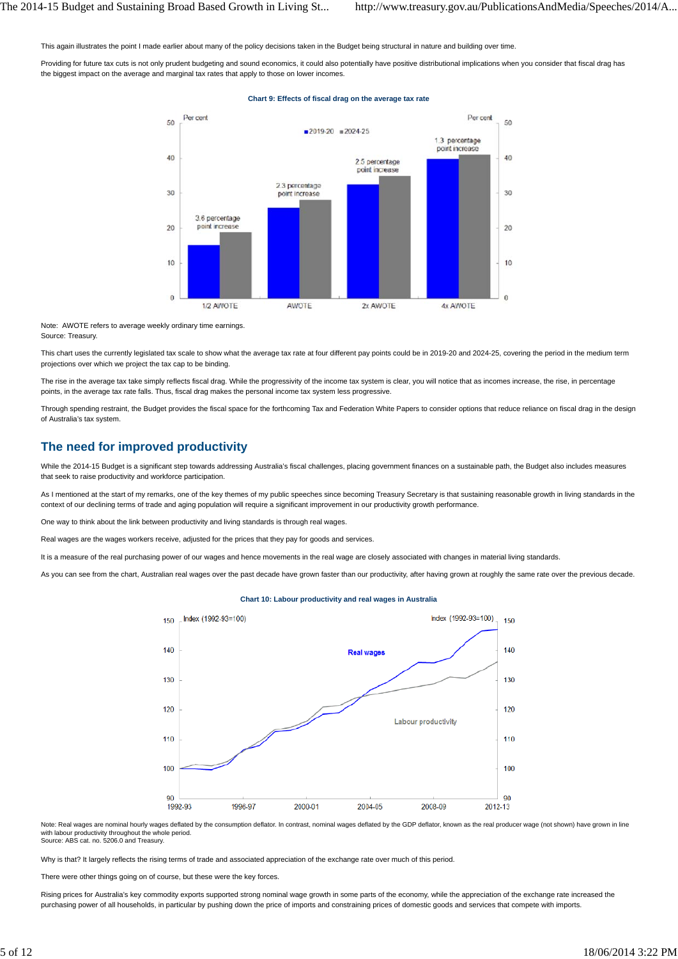This again illustrates the point I made earlier about many of the policy decisions taken in the Budget being structural in nature and building over time.

Providing for future tax cuts is not only prudent budgeting and sound economics, it could also potentially have positive distributional implications when you consider that fiscal drag has the biggest impact on the average and marginal tax rates that apply to those on lower incomes.

#### **Chart 9: Effects of fiscal drag on the average tax rate**



Note: AWOTE refers to average weekly ordinary time earnings. Source: Treasury.

This chart uses the currently legislated tax scale to show what the average tax rate at four different pay points could be in 2019-20 and 2024-25, covering the period in the medium term projections over which we project the tax cap to be binding.

The rise in the average tax take simply reflects fiscal drag. While the progressivity of the income tax system is clear, you will notice that as incomes increase, the rise, in percentage points, in the average tax rate falls. Thus, fiscal drag makes the personal income tax system less progressive.

Through spending restraint, the Budget provides the fiscal space for the forthcoming Tax and Federation White Papers to consider options that reduce reliance on fiscal drag in the design of Australia's tax system.

## **The need for improved productivity**

While the 2014-15 Budget is a significant step towards addressing Australia's fiscal challenges, placing government finances on a sustainable path, the Budget also includes measures that seek to raise productivity and workforce participation.

As I mentioned at the start of my remarks, one of the key themes of my public speeches since becoming Treasury Secretary is that sustaining reasonable growth in living standards in the context of our declining terms of trade and aging population will require a significant improvement in our productivity growth performance.

One way to think about the link between productivity and living standards is through real wages.

Real wages are the wages workers receive, adjusted for the prices that they pay for goods and services.

It is a measure of the real purchasing power of our wages and hence movements in the real wage are closely associated with changes in material living standards.

As you can see from the chart, Australian real wages over the past decade have grown faster than our productivity, after having grown at roughly the same rate over the previous decade.

#### Index (1992-93=100) Index (1992-93=100) 150 150 140 140 **Real wages** 130 130  $120$ 120 Labour productivity 110 110 100 100  $Q<sub>0</sub>$  $Q<sub>0</sub>$ 1992-93 1996-97 2000-01 2004-05 2008-09 2012-13

#### **Chart 10: Labour productivity and real wages in Australia**

Note: Real wages are nominal hourly wages deflated by the consumption deflator. In contrast, nominal wages deflated by the GDP deflator, known as the real producer wage (not shown) have grown in line with labour productivity throughout the whole period. Source: ABS cat. no. 5206.0 and Treasury.

Why is that? It largely reflects the rising terms of trade and associated appreciation of the exchange rate over much of this period.

There were other things going on of course, but these were the key forces.

Rising prices for Australia's key commodity exports supported strong nominal wage growth in some parts of the economy, while the appreciation of the exchange rate increased the purchasing power of all households, in particular by pushing down the price of imports and constraining prices of domestic goods and services that compete with imports.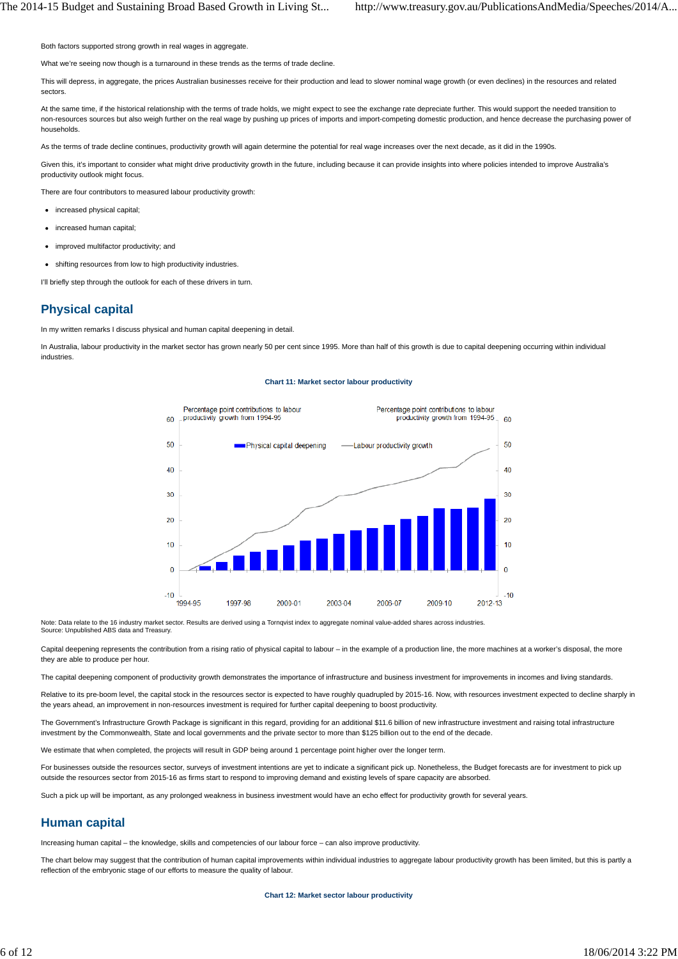Both factors supported strong growth in real wages in aggregate.

What we're seeing now though is a turnaround in these trends as the terms of trade decline

This will depress, in aggregate, the prices Australian businesses receive for their production and lead to slower nominal wage growth (or even declines) in the resources and related sectors.

At the same time, if the historical relationship with the terms of trade holds, we might expect to see the exchange rate depreciate further. This would support the needed transition to non-resources sources but also weigh further on the real wage by pushing up prices of imports and import-competing domestic production, and hence decrease the purchasing power of households.

As the terms of trade decline continues, productivity growth will again determine the potential for real wage increases over the next decade, as it did in the 1990s.

Given this, it's important to consider what might drive productivity growth in the future, including because it can provide insights into where policies intended to improve Australia's productivity outlook might focus.

There are four contributors to measured labour productivity growth:

- increased physical capital;
- increased human capital
- improved multifactor productivity; and
- shifting resources from low to high productivity industries.

I'll briefly step through the outlook for each of these drivers in turn.

# **Physical capital**

In my written remarks I discuss physical and human capital deepening in detail.

In Australia, labour productivity in the market sector has grown nearly 50 per cent since 1995. More than half of this growth is due to capital deepening occurring within individual industries.

#### **Chart 11: Market sector labour productivity**



Note: Data relate to the 16 industry market sector. Results are derived using a Tornqvist index to aggregate nominal value-added shares across industries. Source: Unpublished ABS data and Treasury.

Capital deepening represents the contribution from a rising ratio of physical capital to labour – in the example of a production line, the more machines at a worker's disposal, the more they are able to produce per hour.

The capital deepening component of productivity growth demonstrates the importance of infrastructure and business investment for improvements in incomes and living standards.

Relative to its pre-boom level, the capital stock in the resources sector is expected to have roughly quadrupled by 2015-16. Now, with resources investment expected to decline sharply in the years ahead, an improvement in non-resources investment is required for further capital deepening to boost productivity.

The Government's Infrastructure Growth Package is significant in this regard, providing for an additional \$11.6 billion of new infrastructure investment and raising total infrastructure investment by the Commonwealth, State and local governments and the private sector to more than \$125 billion out to the end of the decade.

We estimate that when completed, the projects will result in GDP being around 1 percentage point higher over the longer term.

For businesses outside the resources sector, surveys of investment intentions are yet to indicate a significant pick up. Nonetheless, the Budget forecasts are for investment to pick up outside the resources sector from 2015-16 as firms start to respond to improving demand and existing levels of spare capacity are absorbed.

Such a pick up will be important, as any prolonged weakness in business investment would have an echo effect for productivity growth for several years.

## **Human capital**

Increasing human capital – the knowledge, skills and competencies of our labour force – can also improve productivity.

The chart below may suggest that the contribution of human capital improvements within individual industries to aggregate labour productivity growth has been limited, but this is partly a reflection of the embryonic stage of our efforts to measure the quality of labour.

**Chart 12: Market sector labour productivity**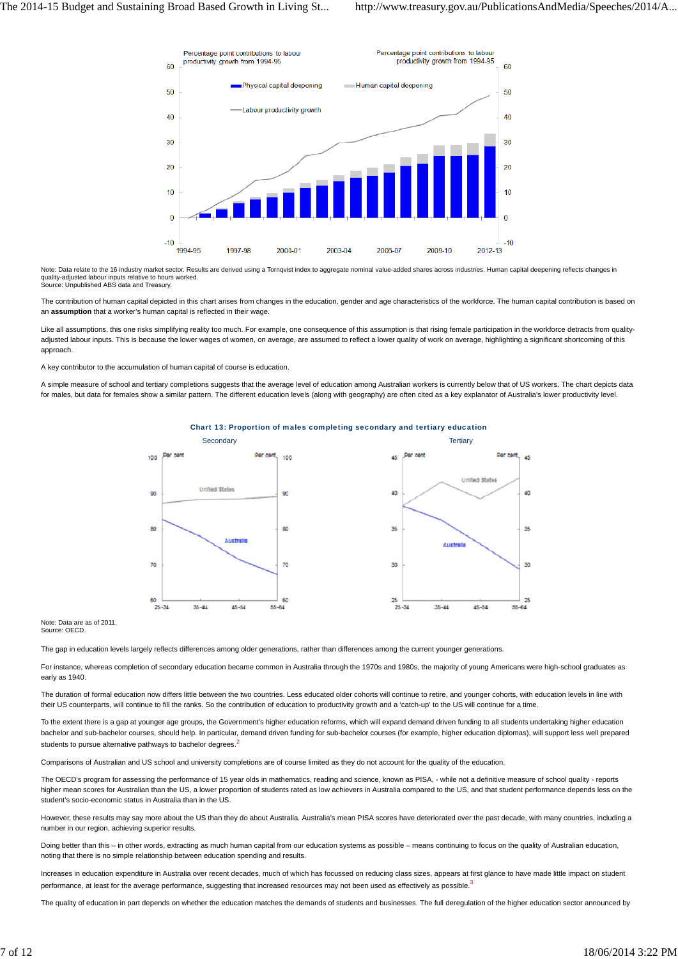

Note: Data relate to the 16 industry market sector. Results are derived using a Torngvist index to aggregate nominal value-added shares across industries. Human capital deepening reflects changes in quality-adjusted labour inputs relative to hours worked. Source: Unpublished ABS data and Treasury.

The contribution of human capital depicted in this chart arises from changes in the education, gender and age characteristics of the workforce. The human capital contribution is based on an **assumption** that a worker's human capital is reflected in their wage.

Like all assumptions, this one risks simplifying reality too much. For example, one consequence of this assumption is that rising female participation in the workforce detracts from qualityadjusted labour inputs. This is because the lower wages of women, on average, are assumed to reflect a lower quality of work on average, highlighting a significant shortcoming of this approach.

A key contributor to the accumulation of human capital of course is education.

A simple measure of school and tertiary completions suggests that the average level of education among Australian workers is currently below that of US workers. The chart depicts data for males, but data for females show a similar pattern. The different education levels (along with geography) are often cited as a key explanator of Australia's lower productivity level.



Chart 13: Proportion of males completing secondary and tertiary education

Note: Data are as of 2011. Source: OECD.

The gap in education levels largely reflects differences among older generations, rather than differences among the current younger generations.

For instance, whereas completion of secondary education became common in Australia through the 1970s and 1980s, the majority of young Americans were high-school graduates as early as 1940.

The duration of formal education now differs little between the two countries. Less educated older cohorts will continue to retire, and younger cohorts, with education levels in line with their US counterparts, will continue to fill the ranks. So the contribution of education to productivity growth and a 'catch-up' to the US will continue for a time.

To the extent there is a gap at younger age groups, the Government's higher education reforms, which will expand demand driven funding to all students undertaking higher education bachelor and sub-bachelor courses, should help. In particular, demand driven funding for sub-bachelor courses (for example, higher education diplomas), will support less well prepared students to pursue alternative pathways to bachelor degrees.<sup>2</sup>

Comparisons of Australian and US school and university completions are of course limited as they do not account for the quality of the education.

The OECD's program for assessing the performance of 15 year olds in mathematics, reading and science, known as PISA, - while not a definitive measure of school quality - reports higher mean scores for Australian than the US, a lower proportion of students rated as low achievers in Australia compared to the US, and that student performance depends less on the student's socio-economic status in Australia than in the US.

However, these results may say more about the US than they do about Australia. Australia's mean PISA scores have deteriorated over the past decade, with many countries, including a number in our region, achieving superior results.

Doing better than this – in other words, extracting as much human capital from our education systems as possible – means continuing to focus on the quality of Australian education, noting that there is no simple relationship between education spending and results.

Increases in education expenditure in Australia over recent decades, much of which has focussed on reducing class sizes, appears at first glance to have made little impact on student performance, at least for the average performance, suggesting that increased resources may not been used as effectively as possible.<sup>3</sup>

The quality of education in part depends on whether the education matches the demands of students and businesses. The full deregulation of the higher education sector announced by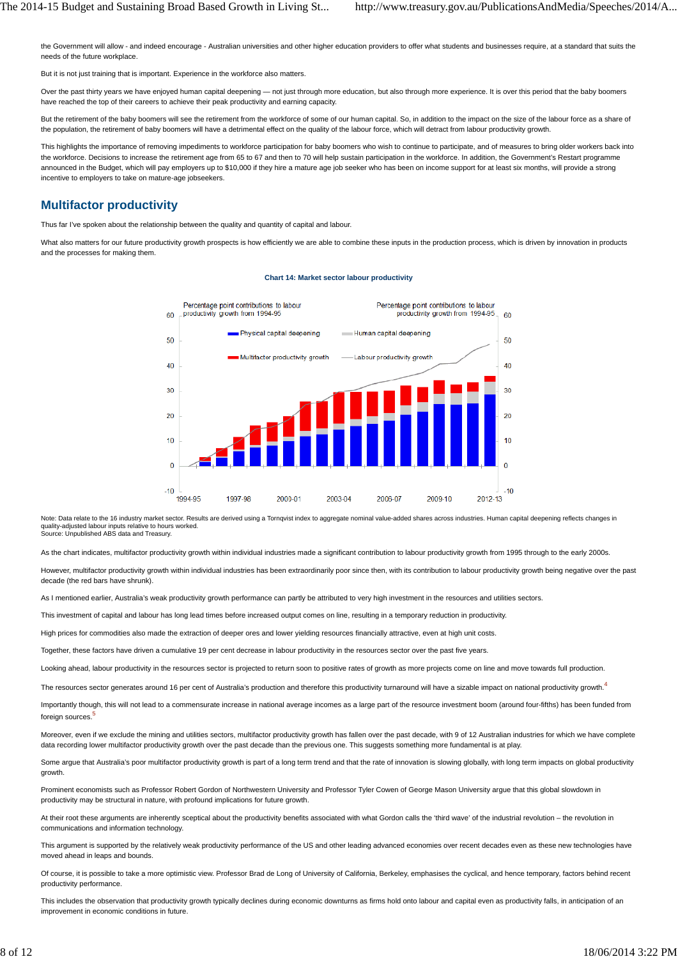the Government will allow - and indeed encourage - Australian universities and other higher education providers to offer what students and businesses require, at a standard that suits the needs of the future workplace.

But it is not just training that is important. Experience in the workforce also matters.

Over the past thirty years we have enjoyed human capital deepening - not just through more education, but also through more experience. It is over this period that the baby boomers have reached the top of their careers to achieve their peak productivity and earning capacity.

But the retirement of the baby boomers will see the retirement from the workforce of some of our human capital. So, in addition to the impact on the size of the labour force as a share of the population, the retirement of baby boomers will have a detrimental effect on the quality of the labour force, which will detract from labour productivity growth.

This highlights the importance of removing impediments to workforce participation for baby boomers who wish to continue to participate, and of measures to bring older workers back into the workforce. Decisions to increase the retirement age from 65 to 67 and then to 70 will help sustain participation in the workforce. In addition, the Government's Restart programme announced in the Budget, which will pay employers up to \$10,000 if they hire a mature age job seeker who has been on income support for at least six months, will provide a strong incentive to employers to take on mature-age jobseekers.

## **Multifactor productivity**

Thus far I've spoken about the relationship between the quality and quantity of capital and labour.

What also matters for our future productivity growth prospects is how efficiently we are able to combine these inputs in the production process, which is driven by innovation in products and the processes for making them.



#### **Chart 14: Market sector labour productivity**

Note: Data relate to the 16 industry market sector. Results are derived using a Tornqvist index to aggregate nominal value-added shares across industries. Human capital deepening reflects changes in quality-adjusted labour inputs relative to hours worked. Source: Unpublished ABS data and Treasury.

As the chart indicates, multifactor productivity growth within individual industries made a significant contribution to labour productivity growth from 1995 through to the early 2000s.

However, multifactor productivity growth within individual industries has been extraordinarily poor since then, with its contribution to labour productivity growth being negative over the past decade (the red bars have shrunk).

As I mentioned earlier, Australia's weak productivity growth performance can partly be attributed to very high investment in the resources and utilities sectors

This investment of capital and labour has long lead times before increased output comes on line, resulting in a temporary reduction in productivity.

High prices for commodities also made the extraction of deeper ores and lower yielding resources financially attractive, even at high unit costs.

Together, these factors have driven a cumulative 19 per cent decrease in labour productivity in the resources sector over the past five years.

Looking ahead, labour productivity in the resources sector is projected to return soon to positive rates of growth as more projects come on line and move towards full production.

The resources sector generates around 16 per cent of Australia's production and therefore this productivity turnaround will have a sizable impact on national productivity growth.<sup>4</sup>

Importantly though, this will not lead to a commensurate increase in national average incomes as a large part of the resource investment boom (around four-fifths) has been funded from foreign sources.

Moreover, even if we exclude the mining and utilities sectors, multifactor productivity growth has fallen over the past decade, with 9 of 12 Australian industries for which we have complete data recording lower multifactor productivity growth over the past decade than the previous one. This suggests something more fundamental is at play.

Some argue that Australia's poor multifactor productivity growth is part of a long term trend and that the rate of innovation is slowing globally, with long term impacts on global productivity growth.

Prominent economists such as Professor Robert Gordon of Northwestern University and Professor Tyler Cowen of George Mason University argue that this global slowdown in productivity may be structural in nature, with profound implications for future growth.

At their root these arguments are inherently sceptical about the productivity benefits associated with what Gordon calls the 'third wave' of the industrial revolution – the revolution in communications and information technology.

This argument is supported by the relatively weak productivity performance of the US and other leading advanced economies over recent decades even as these new technologies have moved ahead in leaps and bounds.

Of course, it is possible to take a more optimistic view. Professor Brad de Long of University of California, Berkeley, emphasises the cyclical, and hence temporary, factors behind recent productivity performance.

This includes the observation that productivity growth typically declines during economic downturns as firms hold onto labour and capital even as productivity falls, in anticipation of an improvement in economic conditions in future.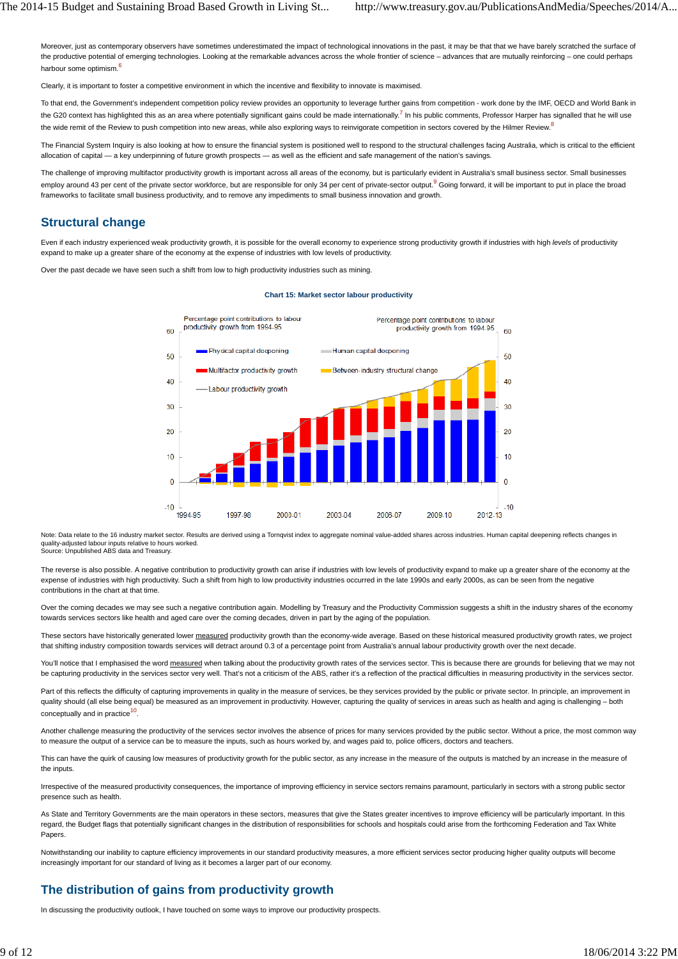Moreover, just as contemporary observers have sometimes underestimated the impact of technological innovations in the past, it may be that that we have barely scratched the surface of the productive potential of emerging technologies. Looking at the remarkable advances across the whole frontier of science – advances that are mutually reinforcing – one could perhaps harbour some optimism.<sup>6</sup>

Clearly, it is important to foster a competitive environment in which the incentive and flexibility to innovate is maximised.

To that end, the Government's independent competition policy review provides an opportunity to leverage further gains from competition - work done by the IMF, OECD and World Bank in the G20 context has highlighted this as an area where potentially significant gains could be made internationally.<sup>7</sup> In his public comments, Professor Harper has signalled that he will use the wide remit of the Review to push competition into new areas, while also exploring ways to reinvigorate competition in sectors covered by the Hilmer Review.<sup>8</sup>

The Financial System Inquiry is also looking at how to ensure the financial system is positioned well to respond to the structural challenges facing Australia, which is critical to the efficient allocation of capital — a key underpinning of future growth prospects — as well as the efficient and safe management of the nation's savings.

The challenge of improving multifactor productivity growth is important across all areas of the economy, but is particularly evident in Australia's small business sector. Small businesses employ around 43 per cent of the private sector workforce, but are responsible for only 34 per cent of private-sector output.<sup>9</sup> Going forward, it will be important to put in place the broad frameworks to facilitate small business productivity, and to remove any impediments to small business innovation and growth.

## **Structural change**

Even if each industry experienced weak productivity growth, it is possible for the overall economy to experience strong productivity growth if industries with high *levels* of productivity expand to make up a greater share of the economy at the expense of industries with low levels of productivity.

Over the past decade we have seen such a shift from low to high productivity industries such as mining.



#### **Chart 15: Market sector labour productivity**

Note: Data relate to the 16 industry market sector. Results are derived using a Tornqvist index to aggregate nominal value-added shares across industries. Human capital deepening reflects changes in sector. Results are der quality-adjusted labour inputs relative to hours worked. Source: Unpublished ABS data and Treasury.

The reverse is also possible. A negative contribution to productivity growth can arise if industries with low levels of productivity expand to make up a greater share of the economy at the expense of industries with high productivity. Such a shift from high to low productivity industries occurred in the late 1990s and early 2000s, as can be seen from the negative contributions in the chart at that time.

Over the coming decades we may see such a negative contribution again. Modelling by Treasury and the Productivity Commission suggests a shift in the industry shares of the economy towards services sectors like health and aged care over the coming decades, driven in part by the aging of the population.

These sectors have historically generated lower measured productivity growth than the economy-wide average. Based on these historical measured productivity growth rates, we project that shifting industry composition towards services will detract around 0.3 of a percentage point from Australia's annual labour productivity growth over the next decade.

You'll notice that I emphasised the word measured when talking about the productivity growth rates of the services sector. This is because there are grounds for believing that we may not be capturing productivity in the services sector very well. That's not a criticism of the ABS, rather it's a reflection of the practical difficulties in measuring productivity in the services sector.

Part of this reflects the difficulty of capturing improvements in quality in the measure of services, be they services provided by the public or private sector. In principle, an improvement in quality should (all else being equal) be measured as an improvement in productivity. However, capturing the quality of services in areas such as health and aging is challenging - both conceptually and in practice<sup>10</sup>.

Another challenge measuring the productivity of the services sector involves the absence of prices for many services provided by the public sector. Without a price, the most common way to measure the output of a service can be to measure the inputs, such as hours worked by, and wages paid to, police officers, doctors and teachers.

This can have the quirk of causing low measures of productivity growth for the public sector, as any increase in the measure of the outputs is matched by an increase in the measure of the inputs.

Irrespective of the measured productivity consequences, the importance of improving efficiency in service sectors remains paramount, particularly in sectors with a strong public sector presence such as health.

As State and Territory Governments are the main operators in these sectors, measures that give the States greater incentives to improve efficiency will be particularly important. In this regard, the Budget flags that potentially significant changes in the distribution of responsibilities for schools and hospitals could arise from the forthcoming Federation and Tax White **Papers** 

Notwithstanding our inability to capture efficiency improvements in our standard productivity measures, a more efficient services sector producing higher quality outputs will become increasingly important for our standard of living as it becomes a larger part of our economy.

# **The distribution of gains from productivity growth**

In discussing the productivity outlook, I have touched on some ways to improve our productivity prospects.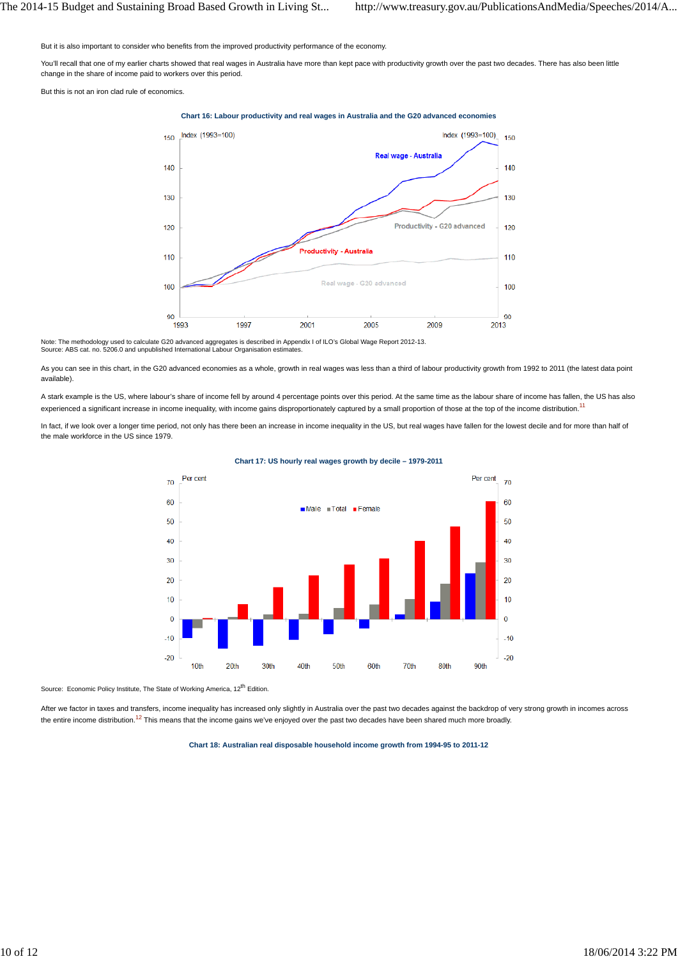But it is also important to consider who benefits from the improved productivity performance of the economy.

You'll recall that one of my earlier charts showed that real wages in Australia have more than kept pace with productivity growth over the past two decades. There has also been little change in the share of income paid to workers over this period.

But this is not an iron clad rule of economics.

#### **Chart 16: Labour productivity and real wages in Australia and the G20 advanced economies**



Note: The methodology used to calculate G20 advanced aggregates is described in Appendix I of ILO's Global Wage Report 2012-13.<br>Source: ABS cat. no. 5206.0 and unpublished International Labour Organisation estimates.

As you can see in this chart, in the G20 advanced economies as a whole, growth in real wages was less than a third of labour productivity growth from 1992 to 2011 (the latest data point available).

A stark example is the US, where labour's share of income fell by around 4 percentage points over this period. At the same time as the labour share of income has fallen, the US has also experienced a significant increase in income inequality, with income gains disproportionately captured by a small proportion of those at the top of the income distribution.<sup>11</sup>

In fact, if we look over a longer time period, not only has there been an increase in income inequality in the US, but real wages have fallen for the lowest decile and for more than half of the male workforce in the US since 1979.



#### **Chart 17: US hourly real wages growth by decile – 1979-2011**

Source: Economic Policy Institute, The State of Working America, 12<sup>th</sup> Edition

After we factor in taxes and transfers, income inequality has increased only slightly in Australia over the past two decades against the backdrop of very strong growth in incomes across the entire income distribution.<sup>12</sup> This means that the income gains we've enjoyed over the past two decades have been shared much more broadly.

**Chart 18: Australian real disposable household income growth from 1994-95 to 2011-12**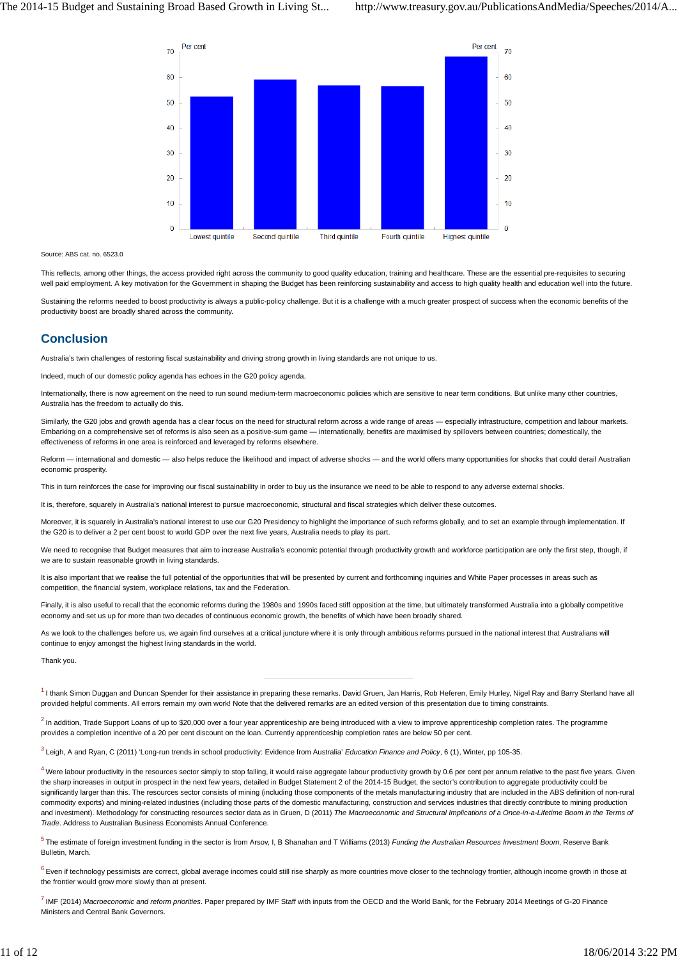

Source: ABS cat. no. 6523.0

This reflects, among other things, the access provided right across the community to good quality education, training and healthcare. These are the essential pre-requisites to securing well paid employment. A key motivation for the Government in shaping the Budget has been reinforcing sustainability and access to high quality health and education well into the future.

Sustaining the reforms needed to boost productivity is always a public-policy challenge. But it is a challenge with a much greater prospect of success when the economic benefits of the productivity boost are broadly shared across the community.

## **Conclusion**

Australia's twin challenges of restoring fiscal sustainability and driving strong growth in living standards are not unique to us.

Indeed, much of our domestic policy agenda has echoes in the G20 policy agenda.

Internationally, there is now agreement on the need to run sound medium-term macroeconomic policies which are sensitive to near term conditions. But unlike many other countries, Australia has the freedom to actually do this.

Similarly, the G20 jobs and growth agenda has a clear focus on the need for structural reform across a wide range of areas - especially infrastructure, competition and labour markets. Embarking on a comprehensive set of reforms is also seen as a positive-sum game — internationally, benefits are maximised by spillovers between countries; domestically, the effectiveness of reforms in one area is reinforced and leveraged by reforms elsewhere.

Reform — international and domestic — also helps reduce the likelihood and impact of adverse shocks — and the world offers many opportunities for shocks that could derail Australian economic prosperity.

This in turn reinforces the case for improving our fiscal sustainability in order to buy us the insurance we need to be able to respond to any adverse external shocks.

It is, therefore, squarely in Australia's national interest to pursue macroeconomic, structural and fiscal strategies which deliver these outcomes

Moreover, it is squarely in Australia's national interest to use our G20 Presidency to highlight the importance of such reforms globally, and to set an example through implementation. If the G20 is to deliver a 2 per cent boost to world GDP over the next five years, Australia needs to play its part.

We need to recognise that Budget measures that aim to increase Australia's economic potential through productivity growth and workforce participation are only the first step, though, if we are to sustain reasonable growth in living standards.

It is also important that we realise the full potential of the opportunities that will be presented by current and forthcoming inquiries and White Paper processes in areas such as competition, the financial system, workplace relations, tax and the Federation.

Finally, it is also useful to recall that the economic reforms during the 1980s and 1990s faced stiff opposition at the time, but ultimately transformed Australia into a globally competitive economy and set us up for more than two decades of continuous economic growth, the benefits of which have been broadly shared.

As we look to the challenges before us, we again find ourselves at a critical juncture where it is only through ambitious reforms pursued in the national interest that Australians will continue to enjoy amongst the highest living standards in the world.

Thank you.

<sup>1</sup> I thank Simon Duggan and Duncan Spender for their assistance in preparing these remarks. David Gruen, Jan Harris, Rob Heferen, Emily Hurley, Nigel Ray and Barry Sterland have all provided helpful comments. All errors remain my own work! Note that the delivered remarks are an edited version of this presentation due to timing constraints.

 $^2$  In addition, Trade Support Loans of up to \$20,000 over a four year apprenticeship are being introduced with a view to improve apprenticeship completion rates. The programme provides a completion incentive of a 20 per cent discount on the loan. Currently apprenticeship completion rates are below 50 per cent.

<sup>3</sup> Leigh, A and Ryan, C (2011) 'Long-run trends in school productivity: Evidence from Australia' *Education Finance and Policy*, 6 (1), Winter, pp 105-35.

 $4$  Were labour productivity in the resources sector simply to stop falling, it would raise aggregate labour productivity growth by 0.6 per cent per annum relative to the past five years. Given the sharp increases in output in prospect in the next few years, detailed in Budget Statement 2 of the 2014-15 Budget, the sector's contribution to aggregate productivity could be significantly larger than this. The resources sector consists of mining (including those components of the metals manufacturing industry that are included in the ABS definition of non-rural commodity exports) and mining-related industries (including those parts of the domestic manufacturing, construction and services industries that directly contribute to mining production and investment). Methodology for constructing resources sector data as in Gruen, D (2011) The Macroeconomic and Structural Implications of a Once-in-a-Lifetime Boom in the Terms of *Trade*. Address to Australian Business Economists Annual Conference.

<sup>5</sup> The estimate of foreign investment funding in the sector is from Arsov, I, B Shanahan and T Williams (2013) *Funding the Australian Resources Investment Boom*, Reserve Bank Bulletin, March.

 $6$  Even if technology pessimists are correct, global average incomes could still rise sharply as more countries move closer to the technology frontier, although income growth in those at the frontier would grow more slowly than at present.

<sup>7</sup> IMF (2014) *Macroeconomic and reform priorities*. Paper prepared by IMF Staff with inputs from the OECD and the World Bank, for the February 2014 Meetings of G-20 Finance Ministers and Central Bank Governors.